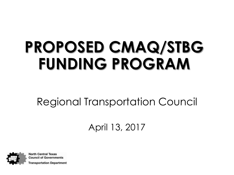# **PROPOSED CMAQ/STBG FUNDING PROGRAM**

Regional Transportation Council

April 13, 2017

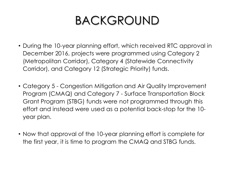## BACKGROUND

- During the 10-year planning effort, which received RTC approval in December 2016, projects were programmed using Category 2 (Metropolitan Corridor), Category 4 (Statewide Connectivity Corridor), and Category 12 (Strategic Priority) funds.
- Category 5 Congestion Mitigation and Air Quality Improvement Program (CMAQ) and Category 7 - Surface Transportation Block Grant Program (STBG) funds were not programmed through this effort and instead were used as a potential back-stop for the 10 year plan.
- Now that approval of the 10-year planning effort is complete for the first year, it is time to program the CMAQ and STBG funds.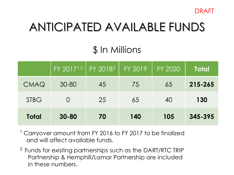

## ANTICIPATED AVAILABLE FUNDS

### \$ In Millions

|              | FY 2017 <sup>1,2</sup>   FY 2018 <sup>2</sup> |    | FY 2019 | FY 2020 | <b>Total</b> |
|--------------|-----------------------------------------------|----|---------|---------|--------------|
| CMAQ         | $30 - 80$                                     | 45 | 75      | 65      | 215-265      |
| <b>STBG</b>  | $\bigcap$                                     | 25 | 65      | 40      | 130          |
| <b>Total</b> | $30 - 80$                                     | 70 | 140     | 105     | 345-395      |

<sup>1</sup> Carryover amount from FY 2016 to FY 2017 to be finalized and will affect available funds.

<sup>2</sup> Funds for existing partnerships such as the DART/RTC TRIP Partnership & Hemphill/Lamar Partnership are included in these numbers.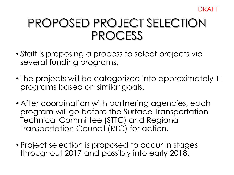### PROPOSED PROJECT SELECTION PROCESS

- Staff is proposing a process to select projects via several funding programs.
- The projects will be categorized into approximately 11 programs based on similar goals.
- After coordination with partnering agencies, each program will go before the Surface Transportation Technical Committee (STTC) and Regional Transportation Council (RTC) for action.
- Project selection is proposed to occur in stages throughout 2017 and possibly into early 2018.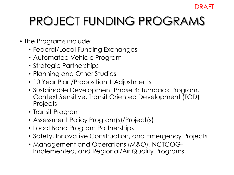#### DRAFT

## PROJECT FUNDING PROGRAMS

- The Programs include:
	- Federal/Local Funding Exchanges
	- Automated Vehicle Program
	- Strategic Partnerships
	- Planning and Other Studies
	- 10 Year Plan/Proposition 1 Adjustments
	- Sustainable Development Phase 4: Turnback Program, Context Sensitive, Transit Oriented Development (TOD) **Projects**
	- Transit Program
	- Assessment Policy Program(s)/Project(s)
	- Local Bond Program Partnerships
	- Safety, Innovative Construction, and Emergency Projects
	- Management and Operations (M&O), NCTCOG-Implemented, and Regional/Air Quality Programs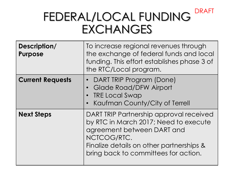### FEDERAL/LOCAL FUNDING **EXCHANGES** DRAFT

| Description/<br><b>Purpose</b> | To increase regional revenues through<br>the exchange of federal funds and local<br>funding. This effort establishes phase 3 of<br>the RTC/Local program.                                                         |
|--------------------------------|-------------------------------------------------------------------------------------------------------------------------------------------------------------------------------------------------------------------|
| <b>Current Requests</b>        | DART TRIP Program (Done)<br><b>Glade Road/DFW Airport</b><br>$\bullet$<br><b>TRE Local Swap</b><br>Kaufman County/City of Terrell                                                                                 |
| <b>Next Steps</b>              | DART TRIP Partnership approval received<br>by RTC in March 2017; Need to execute<br>agreement between DART and<br>NCTCOG/RTC.<br>Finalize details on other partnerships &<br>bring back to committees for action. |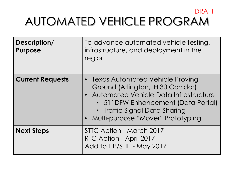### AUTOMATED VEHICLE PROGRAM DRAFT

| Description/<br><b>Purpose</b> | To advance automated vehicle testing,<br>infrastructure, and deployment in the<br>region.                                                                                                                                        |
|--------------------------------|----------------------------------------------------------------------------------------------------------------------------------------------------------------------------------------------------------------------------------|
| <b>Current Requests</b>        | • Texas Automated Vehicle Proving<br>Ground (Arlington, IH 30 Corridor)<br>• Automated Vehicle Data Infrastructure<br>• 511DFW Enhancement (Data Portal)<br>• Traffic Signal Data Sharing<br>• Multi-purpose "Mover" Prototyping |
| <b>Next Steps</b>              | STTC Action - March 2017<br>RTC Action - April 2017<br>Add to TIP/STIP - May 2017                                                                                                                                                |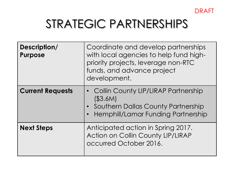

## STRATEGIC PARTNERSHIPS

| Description/<br><b>Purpose</b> | Coordinate and develop partnerships<br>with local agencies to help fund high-<br>priority projects, leverage non-RTC<br>funds, and advance project<br>development. |
|--------------------------------|--------------------------------------------------------------------------------------------------------------------------------------------------------------------|
| <b>Current Requests</b>        | • Collin County LIP/LIRAP Partnership<br>( \$3.6M)<br>• Southern Dallas County Partnership<br><b>Hemphill/Lamar Funding Partnership</b><br>$\bullet$               |
| <b>Next Steps</b>              | Anticipated action in Spring 2017.<br><b>Action on Collin County LIP/LIRAP</b><br>occurred October 2016.                                                           |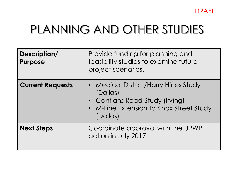

### PLANNING AND OTHER STUDIES

| Description/<br><b>Purpose</b> | Provide funding for planning and<br>feasibility studies to examine future<br>project scenarios.                                           |
|--------------------------------|-------------------------------------------------------------------------------------------------------------------------------------------|
| <b>Current Requests</b>        | • Medical District/Harry Hines Study<br>(Dallas)<br>• Conflans Road Study (Irving)<br>• M-Line Extension to Knox Street Study<br>(Dallas) |
| <b>Next Steps</b>              | Coordinate approval with the UPWP<br>action in July 2017.                                                                                 |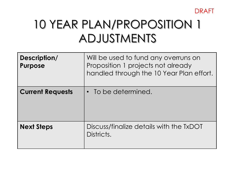

## 10 YEAR PLAN/PROPOSITION 1 ADJUSTMENTS

| Description/<br><b>Purpose</b> | Will be used to fund any overruns on<br>Proposition 1 projects not already<br>handled through the 10 Year Plan effort. |
|--------------------------------|------------------------------------------------------------------------------------------------------------------------|
| <b>Current Requests</b>        | • To be determined.                                                                                                    |
| <b>Next Steps</b>              | Discuss/finalize details with the TxDOT<br>Districts.                                                                  |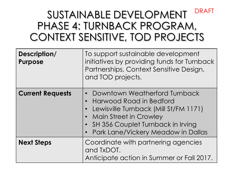#### SUSTAINABLE DEVELOPMENT PHASE 4: TURNBACK PROGRAM, CONTEXT SENSITIVE, TOD PROJECTS DRAFT

| Description/<br><b>Purpose</b> | To support sustainable development<br>initiatives by providing funds for Turnback<br>Partnerships, Context Sensitive Design,<br>and TOD projects.                                                                           |
|--------------------------------|-----------------------------------------------------------------------------------------------------------------------------------------------------------------------------------------------------------------------------|
| <b>Current Requests</b>        | Downtown Weatherford Turnback<br><b>Harwood Road in Bedford</b><br>Lewisville Turnback (Mill St/FM 1171)<br><b>Main Street in Crowley</b><br>SH 356 Couplet Turnback in Irving<br><b>Park Lane/Vickery Meadow in Dallas</b> |
| <b>Next Steps</b>              | Coordinate with partnering agencies<br>and TxDOT.<br>Anticipate action in Summer or Fall 2017.                                                                                                                              |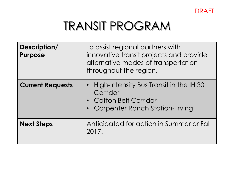

### TRANSIT PROGRAM

| Description/<br><b>Purpose</b> | To assist regional partners with<br>innovative transit projects and provide<br>alternative modes of transportation<br>throughout the region. |
|--------------------------------|----------------------------------------------------------------------------------------------------------------------------------------------|
| <b>Current Requests</b>        | • High-Intensity Bus Transit in the IH 30<br>Corridor<br>• Cotton Belt Corridor<br>Carpenter Ranch Station-Irving                            |
| <b>Next Steps</b>              | Anticipated for action in Summer or Fall<br>2017.                                                                                            |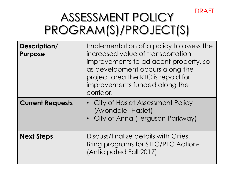## ASSESSMENT POLICY PROGRAM(S)/PROJECT(S)

DRAFT

| Description/<br><b>Purpose</b> | Implementation of a policy to assess the<br>increased value of transportation<br>improvements to adjacent property, so<br>as development occurs along the<br>project area the RTC is repaid for<br>improvements funded along the<br>corridor. |
|--------------------------------|-----------------------------------------------------------------------------------------------------------------------------------------------------------------------------------------------------------------------------------------------|
| <b>Current Requests</b>        | • City of Haslet Assessment Policy<br>(Avondale-Haslet)<br>City of Anna (Ferguson Parkway)                                                                                                                                                    |
| <b>Next Steps</b>              | Discuss/finalize details with Cities.<br>Bring programs for STTC/RTC Action-<br>(Anticipated Fall 2017)                                                                                                                                       |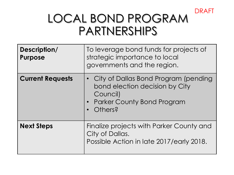#### DRAFT

### LOCAL BOND PROGRAM **PARTNERSHIPS**

| Description/<br><b>Purpose</b> | To leverage bond funds for projects of<br>strategic importance to local<br>governments and the region.                          |
|--------------------------------|---------------------------------------------------------------------------------------------------------------------------------|
| <b>Current Requests</b>        | • City of Dallas Bond Program (pending<br>bond election decision by City<br>Council)<br>• Parker County Bond Program<br>Others? |
| <b>Next Steps</b>              | Finalize projects with Parker County and<br>City of Dallas.<br>Possible Action in late 2017/early 2018.                         |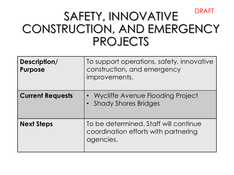### SAFETY, INNOVATIVE CONSTRUCTION, AND EMERGENCY PROJECTS DRAFT

| Description/<br><b>Purpose</b> | To support operations, safety, innovative<br>construction, and emergency<br>improvements.  |
|--------------------------------|--------------------------------------------------------------------------------------------|
| <b>Current Requests</b>        | • Wycliffe Avenue Flooding Project<br>• Shady Shores Bridges                               |
| <b>Next Steps</b>              | To be determined. Staff will continue<br>coordination efforts with partnering<br>agencies. |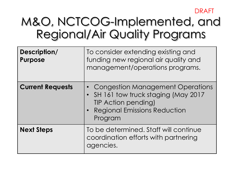DRAFT

### M&O, NCTCOG-Implemented, and Regional/Air Quality Programs

| Description/<br><b>Purpose</b> | To consider extending existing and<br>funding new regional air quality and<br>management/operations programs.                                                    |
|--------------------------------|------------------------------------------------------------------------------------------------------------------------------------------------------------------|
| <b>Current Requests</b>        | • Congestion Management Operations<br>SH 161 tow truck staging (May 2017<br>$\bullet$<br><b>TIP Action pending)</b><br>• Regional Emissions Reduction<br>Program |
| <b>Next Steps</b>              | To be determined. Staff will continue<br>coordination efforts with partnering<br>agencies.                                                                       |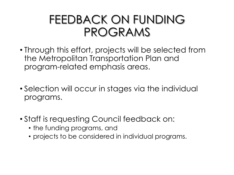### FEEDBACK ON FUNDING PROGRAMS

- Through this effort, projects will be selected from the Metropolitan Transportation Plan and program-related emphasis areas.
- Selection will occur in stages via the individual programs.
- Staff is requesting Council feedback on:
	- the funding programs, and
	- projects to be considered in individual programs.